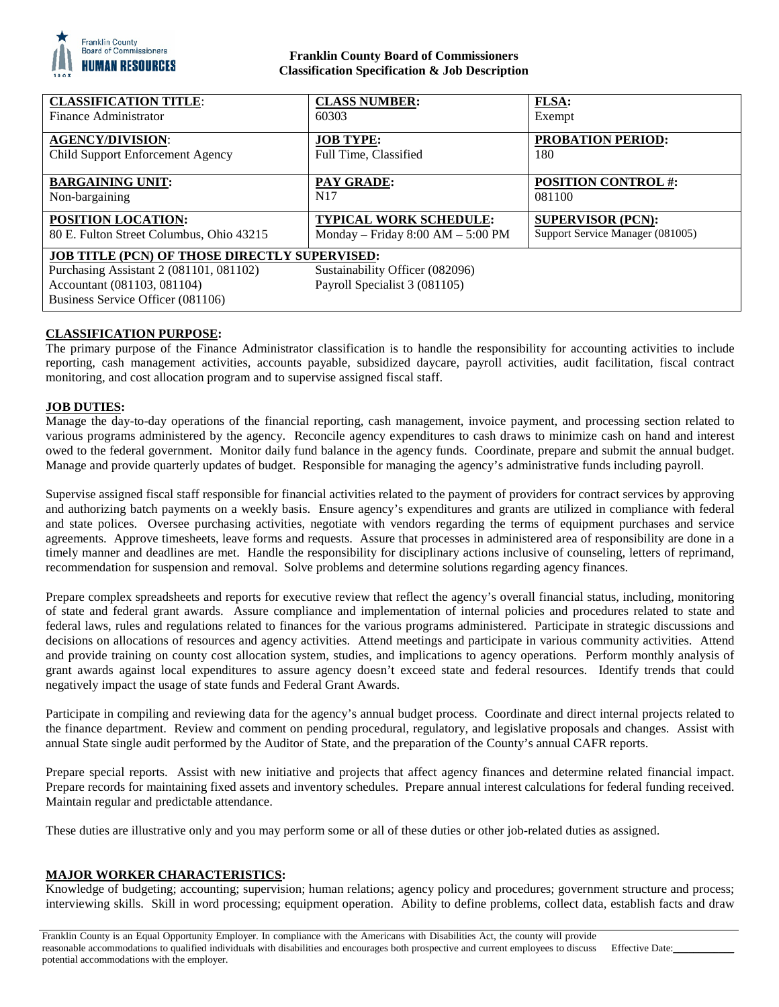

# **Franklin County Board of Commissioners Classification Specification & Job Description**

| <b>CLASSIFICATION TITLE:</b>                                                                                                                                                                                                            | <b>CLASS NUMBER:</b>                | <b>FLSA:</b>                     |
|-----------------------------------------------------------------------------------------------------------------------------------------------------------------------------------------------------------------------------------------|-------------------------------------|----------------------------------|
| Finance Administrator                                                                                                                                                                                                                   | 60303                               | Exempt                           |
| <b>AGENCY/DIVISION:</b>                                                                                                                                                                                                                 | <b>JOB TYPE:</b>                    | <b>PROBATION PERIOD:</b>         |
| Child Support Enforcement Agency                                                                                                                                                                                                        | Full Time, Classified               | 180                              |
| <b>BARGAINING UNIT:</b>                                                                                                                                                                                                                 | <b>PAY GRADE:</b>                   | <b>POSITION CONTROL #:</b>       |
| Non-bargaining                                                                                                                                                                                                                          | N <sub>17</sub>                     | 081100                           |
| POSITION LOCATION:                                                                                                                                                                                                                      | <b>TYPICAL WORK SCHEDULE:</b>       | <b>SUPERVISOR (PCN):</b>         |
| 80 E. Fulton Street Columbus, Ohio 43215                                                                                                                                                                                                | Monday - Friday $8:00 AM - 5:00 PM$ | Support Service Manager (081005) |
| <b>JOB TITLE (PCN) OF THOSE DIRECTLY SUPERVISED:</b><br>Purchasing Assistant 2 (081101, 081102)<br>Sustainability Officer (082096)<br>Payroll Specialist 3 (081105)<br>Accountant (081103, 081104)<br>Business Service Officer (081106) |                                     |                                  |

## **CLASSIFICATION PURPOSE:**

The primary purpose of the Finance Administrator classification is to handle the responsibility for accounting activities to include reporting, cash management activities, accounts payable, subsidized daycare, payroll activities, audit facilitation, fiscal contract monitoring, and cost allocation program and to supervise assigned fiscal staff.

## **JOB DUTIES:**

Manage the day-to-day operations of the financial reporting, cash management, invoice payment, and processing section related to various programs administered by the agency. Reconcile agency expenditures to cash draws to minimize cash on hand and interest owed to the federal government. Monitor daily fund balance in the agency funds. Coordinate, prepare and submit the annual budget. Manage and provide quarterly updates of budget. Responsible for managing the agency's administrative funds including payroll.

Supervise assigned fiscal staff responsible for financial activities related to the payment of providers for contract services by approving and authorizing batch payments on a weekly basis. Ensure agency's expenditures and grants are utilized in compliance with federal and state polices. Oversee purchasing activities, negotiate with vendors regarding the terms of equipment purchases and service agreements. Approve timesheets, leave forms and requests. Assure that processes in administered area of responsibility are done in a timely manner and deadlines are met. Handle the responsibility for disciplinary actions inclusive of counseling, letters of reprimand, recommendation for suspension and removal. Solve problems and determine solutions regarding agency finances.

Prepare complex spreadsheets and reports for executive review that reflect the agency's overall financial status, including, monitoring of state and federal grant awards. Assure compliance and implementation of internal policies and procedures related to state and federal laws, rules and regulations related to finances for the various programs administered. Participate in strategic discussions and decisions on allocations of resources and agency activities. Attend meetings and participate in various community activities. Attend and provide training on county cost allocation system, studies, and implications to agency operations. Perform monthly analysis of grant awards against local expenditures to assure agency doesn't exceed state and federal resources. Identify trends that could negatively impact the usage of state funds and Federal Grant Awards.

Participate in compiling and reviewing data for the agency's annual budget process. Coordinate and direct internal projects related to the finance department. Review and comment on pending procedural, regulatory, and legislative proposals and changes. Assist with annual State single audit performed by the Auditor of State, and the preparation of the County's annual CAFR reports.

Prepare special reports. Assist with new initiative and projects that affect agency finances and determine related financial impact. Prepare records for maintaining fixed assets and inventory schedules. Prepare annual interest calculations for federal funding received. Maintain regular and predictable attendance.

These duties are illustrative only and you may perform some or all of these duties or other job-related duties as assigned.

## **MAJOR WORKER CHARACTERISTICS:**

Knowledge of budgeting; accounting; supervision; human relations; agency policy and procedures; government structure and process; interviewing skills. Skill in word processing; equipment operation. Ability to define problems, collect data, establish facts and draw